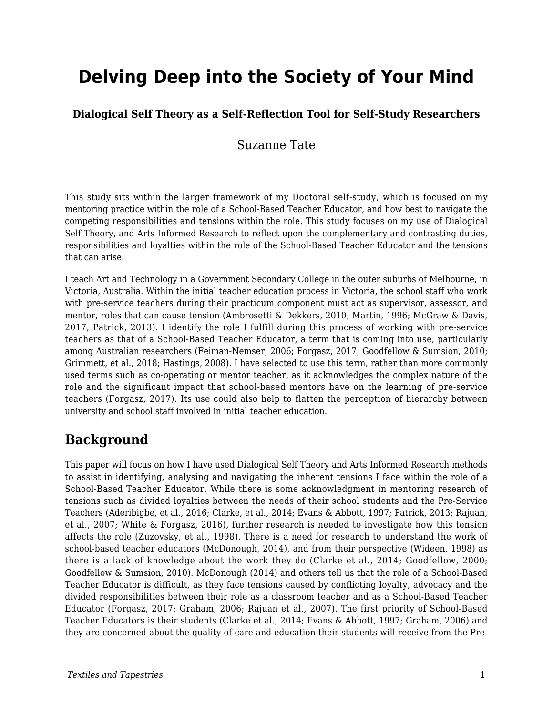# **Delving Deep into the Society of Your Mind**

#### **Dialogical Self Theory as a Self-Reflection Tool for Self-Study Researchers**

### Suzanne Tate

This study sits within the larger framework of my Doctoral self-study, which is focused on my mentoring practice within the role of a School-Based Teacher Educator, and how best to navigate the competing responsibilities and tensions within the role. This study focuses on my use of Dialogical Self Theory, and Arts Informed Research to reflect upon the complementary and contrasting duties, responsibilities and loyalties within the role of the School-Based Teacher Educator and the tensions that can arise.

I teach Art and Technology in a Government Secondary College in the outer suburbs of Melbourne, in Victoria, Australia. Within the initial teacher education process in Victoria, the school staff who work with pre-service teachers during their practicum component must act as supervisor, assessor, and mentor, roles that can cause tension (Ambrosetti & Dekkers, 2010; Martin, 1996; McGraw & Davis, 2017; Patrick, 2013). I identify the role I fulfill during this process of working with pre-service teachers as that of a School-Based Teacher Educator, a term that is coming into use, particularly among Australian researchers (Feiman-Nemser, 2006; Forgasz, 2017; Goodfellow & Sumsion, 2010; Grimmett, et al., 2018; Hastings, 2008). I have selected to use this term, rather than more commonly used terms such as co-operating or mentor teacher, as it acknowledges the complex nature of the role and the significant impact that school-based mentors have on the learning of pre-service teachers (Forgasz, 2017). Its use could also help to flatten the perception of hierarchy between university and school staff involved in initial teacher education.

## **Background**

This paper will focus on how I have used Dialogical Self Theory and Arts Informed Research methods to assist in identifying, analysing and navigating the inherent tensions I face within the role of a School-Based Teacher Educator. While there is some acknowledgment in mentoring research of tensions such as divided loyalties between the needs of their school students and the Pre-Service Teachers (Aderibigbe, et al., 2016; Clarke, et al., 2014; Evans & Abbott, 1997; Patrick, 2013; Rajuan, et al., 2007; White & Forgasz, 2016), further research is needed to investigate how this tension affects the role (Zuzovsky, et al., 1998). There is a need for research to understand the work of school-based teacher educators (McDonough, 2014), and from their perspective (Wideen, 1998) as there is a lack of knowledge about the work they do (Clarke et al., 2014; Goodfellow, 2000; Goodfellow & Sumsion, 2010). McDonough (2014) and others tell us that the role of a School-Based Teacher Educator is difficult, as they face tensions caused by conflicting loyalty, advocacy and the divided responsibilities between their role as a classroom teacher and as a School-Based Teacher Educator (Forgasz, 2017; Graham, 2006; Rajuan et al., 2007). The first priority of School-Based Teacher Educators is their students (Clarke et al., 2014; Evans & Abbott, 1997; Graham, 2006) and they are concerned about the quality of care and education their students will receive from the Pre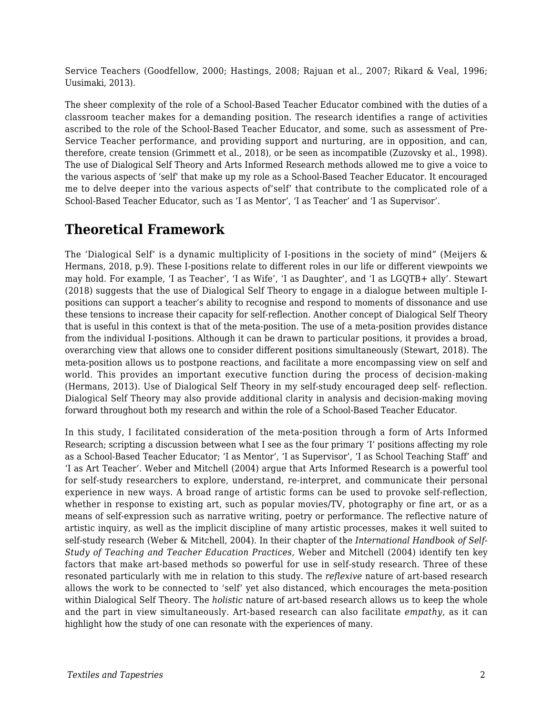Service Teachers (Goodfellow, 2000; Hastings, 2008; Rajuan et al., 2007; Rikard & Veal, 1996; Uusimaki, 2013).

The sheer complexity of the role of a School-Based Teacher Educator combined with the duties of a classroom teacher makes for a demanding position. The research identifies a range of activities ascribed to the role of the School-Based Teacher Educator, and some, such as assessment of Pre-Service Teacher performance, and providing support and nurturing, are in opposition, and can, therefore, create tension (Grimmett et al., 2018), or be seen as incompatible (Zuzovsky et al., 1998). The use of Dialogical Self Theory and Arts Informed Research methods allowed me to give a voice to the various aspects of 'self' that make up my role as a School-Based Teacher Educator. It encouraged me to delve deeper into the various aspects of'self' that contribute to the complicated role of a School-Based Teacher Educator, such as 'I as Mentor', 'I as Teacher' and 'I as Supervisor'.

# **Theoretical Framework**

The 'Dialogical Self' is a dynamic multiplicity of I-positions in the society of mind" (Meijers & Hermans, 2018, p.9). These I-positions relate to different roles in our life or different viewpoints we may hold. For example, 'I as Teacher', 'I as Wife', 'I as Daughter', and 'I as LGQTB+ ally'. Stewart (2018) suggests that the use of Dialogical Self Theory to engage in a dialogue between multiple Ipositions can support a teacher's ability to recognise and respond to moments of dissonance and use these tensions to increase their capacity for self-reflection. Another concept of Dialogical Self Theory that is useful in this context is that of the meta-position. The use of a meta-position provides distance from the individual I-positions. Although it can be drawn to particular positions, it provides a broad, overarching view that allows one to consider different positions simultaneously (Stewart, 2018). The meta-position allows us to postpone reactions, and facilitate a more encompassing view on self and world. This provides an important executive function during the process of decision-making (Hermans, 2013). Use of Dialogical Self Theory in my self-study encouraged deep self- reflection. Dialogical Self Theory may also provide additional clarity in analysis and decision-making moving forward throughout both my research and within the role of a School-Based Teacher Educator.

In this study, I facilitated consideration of the meta-position through a form of Arts Informed Research; scripting a discussion between what I see as the four primary 'I' positions affecting my role as a School-Based Teacher Educator; 'I as Mentor', 'I as Supervisor', 'I as School Teaching Staff' and 'I as Art Teacher'. Weber and Mitchell (2004) argue that Arts Informed Research is a powerful tool for self-study researchers to explore, understand, re-interpret, and communicate their personal experience in new ways. A broad range of artistic forms can be used to provoke self-reflection, whether in response to existing art, such as popular movies/TV, photography or fine art, or as a means of self-expression such as narrative writing, poetry or performance. The reflective nature of artistic inquiry, as well as the implicit discipline of many artistic processes, makes it well suited to self-study research (Weber & Mitchell, 2004). In their chapter of the *International Handbook of Self-Study of Teaching and Teacher Education Practices,* Weber and Mitchell (2004) identify ten key factors that make art-based methods so powerful for use in self-study research. Three of these resonated particularly with me in relation to this study. The *reflexive* nature of art-based research allows the work to be connected to 'self' yet also distanced, which encourages the meta-position within Dialogical Self Theory. The *holistic* nature of art-based research allows us to keep the whole and the part in view simultaneously. Art-based research can also facilitate *empathy*, as it can highlight how the study of one can resonate with the experiences of many.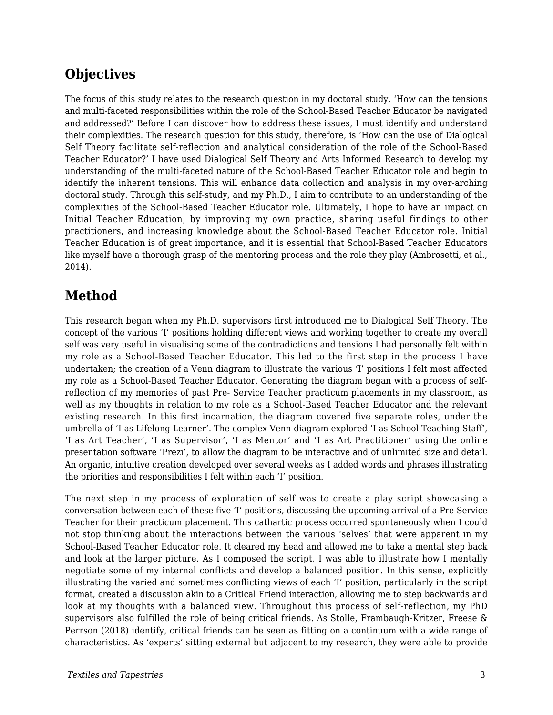# **Objectives**

The focus of this study relates to the research question in my doctoral study, 'How can the tensions and multi-faceted responsibilities within the role of the School-Based Teacher Educator be navigated and addressed?' Before I can discover how to address these issues, I must identify and understand their complexities. The research question for this study, therefore, is 'How can the use of Dialogical Self Theory facilitate self-reflection and analytical consideration of the role of the School-Based Teacher Educator?' I have used Dialogical Self Theory and Arts Informed Research to develop my understanding of the multi-faceted nature of the School-Based Teacher Educator role and begin to identify the inherent tensions. This will enhance data collection and analysis in my over-arching doctoral study. Through this self-study, and my Ph.D., I aim to contribute to an understanding of the complexities of the School-Based Teacher Educator role. Ultimately, I hope to have an impact on Initial Teacher Education, by improving my own practice, sharing useful findings to other practitioners, and increasing knowledge about the School-Based Teacher Educator role. Initial Teacher Education is of great importance, and it is essential that School-Based Teacher Educators like myself have a thorough grasp of the mentoring process and the role they play (Ambrosetti, et al., 2014).

# **Method**

This research began when my Ph.D. supervisors first introduced me to Dialogical Self Theory. The concept of the various 'I' positions holding different views and working together to create my overall self was very useful in visualising some of the contradictions and tensions I had personally felt within my role as a School-Based Teacher Educator. This led to the first step in the process I have undertaken; the creation of a Venn diagram to illustrate the various 'I' positions I felt most affected my role as a School-Based Teacher Educator. Generating the diagram began with a process of selfreflection of my memories of past Pre- Service Teacher practicum placements in my classroom, as well as my thoughts in relation to my role as a School-Based Teacher Educator and the relevant existing research. In this first incarnation, the diagram covered five separate roles, under the umbrella of 'I as Lifelong Learner'. The complex Venn diagram explored 'I as School Teaching Staff', 'I as Art Teacher', 'I as Supervisor', 'I as Mentor' and 'I as Art Practitioner' using the online presentation software 'Prezi', to allow the diagram to be interactive and of unlimited size and detail. An organic, intuitive creation developed over several weeks as I added words and phrases illustrating the priorities and responsibilities I felt within each 'I' position.

The next step in my process of exploration of self was to create a play script showcasing a conversation between each of these five 'I' positions, discussing the upcoming arrival of a Pre-Service Teacher for their practicum placement. This cathartic process occurred spontaneously when I could not stop thinking about the interactions between the various 'selves' that were apparent in my School-Based Teacher Educator role. It cleared my head and allowed me to take a mental step back and look at the larger picture. As I composed the script, I was able to illustrate how I mentally negotiate some of my internal conflicts and develop a balanced position. In this sense, explicitly illustrating the varied and sometimes conflicting views of each 'I' position, particularly in the script format, created a discussion akin to a Critical Friend interaction, allowing me to step backwards and look at my thoughts with a balanced view. Throughout this process of self-reflection, my PhD supervisors also fulfilled the role of being critical friends. As Stolle, Frambaugh-Kritzer, Freese & Perrson (2018) identify, critical friends can be seen as fitting on a continuum with a wide range of characteristics. As 'experts' sitting external but adjacent to my research, they were able to provide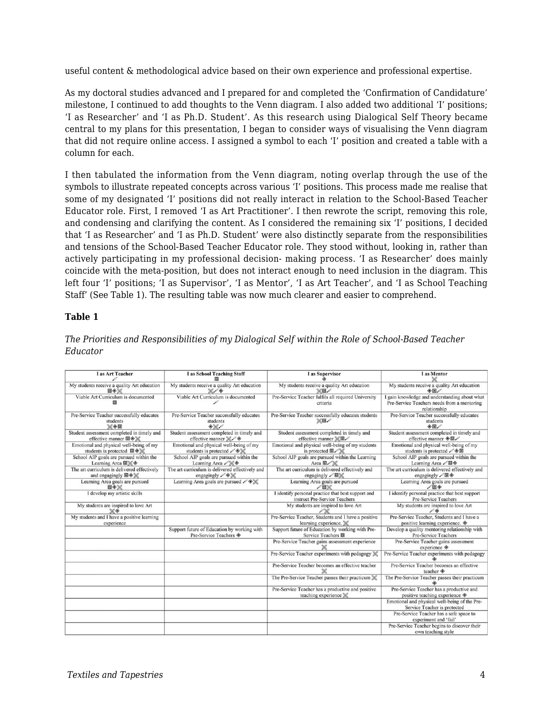useful content & methodological advice based on their own experience and professional expertise.

As my doctoral studies advanced and I prepared for and completed the 'Confirmation of Candidature' milestone, I continued to add thoughts to the Venn diagram. I also added two additional 'I' positions; 'I as Researcher' and 'I as Ph.D. Student'. As this research using Dialogical Self Theory became central to my plans for this presentation, I began to consider ways of visualising the Venn diagram that did not require online access. I assigned a symbol to each 'I' position and created a table with a column for each.

I then tabulated the information from the Venn diagram, noting overlap through the use of the symbols to illustrate repeated concepts across various 'I' positions. This process made me realise that some of my designated 'I' positions did not really interact in relation to the School-Based Teacher Educator role. First, I removed 'I as Art Practitioner'. I then rewrote the script, removing this role, and condensing and clarifying the content. As I considered the remaining six 'I' positions, I decided that 'I as Researcher' and 'I as Ph.D. Student' were also distinctly separate from the responsibilities and tensions of the School-Based Teacher Educator role. They stood without, looking in, rather than actively participating in my professional decision- making process. 'I as Researcher' does mainly coincide with the meta-position, but does not interact enough to need inclusion in the diagram. This left four 'I' positions; 'I as Supervisor', 'I as Mentor', 'I as Art Teacher', and 'I as School Teaching Staff' (See Table 1). The resulting table was now much clearer and easier to comprehend.

#### **Table 1**

| I as Art Teacher                                                                               | I as School Teaching Staff                                                                         | I as Supervisor                                                                         | <b>I</b> as Mentor                                                                                           |
|------------------------------------------------------------------------------------------------|----------------------------------------------------------------------------------------------------|-----------------------------------------------------------------------------------------|--------------------------------------------------------------------------------------------------------------|
| My students receive a quality Art education<br>回◆》                                             | My students receive a quality Art education<br>$\mathbb{Z}/\mathbb{Q}$                             | My students receive a quality Art education<br>$\times$ 0/                              | My students receive a quality Art education<br>$\otimes \Box$                                                |
| Viable Art Curriculum is documented                                                            | Viable Art Curriculum is documented                                                                | Pre-Service Teacher fulfils all required University<br>criteria                         | I gain knowledge and understanding about what<br>Pre-Service Teachers needs from a mentoring<br>relationship |
| Pre-Service Teacher successfully educates<br>students<br>※◆回                                   | Pre-Service Teacher successfully educates<br>students<br>$\Diamond$                                | Pre-Service Teacher successfully educates students<br>$X = 1$                           | Pre-Service Teacher successfully educates<br>students<br>◈同                                                  |
| Student assessment completed in timely and<br>effective manner $\Box \diamondsuit \mathcal{K}$ | Student assessment completed in timely and<br>effective manner X                                   | Student assessment completed in timely and<br>effective manner ※回                       | Student assessment completed in timely and<br>effective manner $\circledast \square$                         |
| Emotional and physical well-being of my<br>students is protected 回令》《                          | Emotional and physical well-being of my<br>students is protected $\mathcal{L} \otimes \mathcal{K}$ | Emotional and physical well-being of my students<br>is protected 回                      | Emotional and physical well-being of my<br>students is protected /◆回                                         |
| School AIP goals are pursued within the<br>Learning Area 回》《令                                  | School AIP goals are pursued within the<br>Learning Area A                                         | School AIP goals are pursued within the Learning<br>Area <b>D</b>                       | School AIP goals are pursued within the<br>Learning Area / 回令                                                |
| The art curriculum is delivered effectively<br>and engagingly 回令》《                             | The art curriculum is delivered effectively and<br>engagingly / OK                                 | The art curriculum is delivered effectively and<br>engagingly /回》                       | The art curriculum is delivered effectively and<br>engagingly /回令                                            |
| Learning Area goals are pursued<br>回◆米                                                         | Learning Area goals are pursued $\mathcal{A} \otimes \mathcal{K}$                                  | Learning Area goals are pursued<br>/o                                                   | Learning Area goals are pursued<br>100                                                                       |
| I develop my artistic skills                                                                   |                                                                                                    | I identify personal practice that best support and<br>instruct Pre-Service Teachers     | I identify personal practice that best support<br><b>Pre-Service Teachers</b>                                |
| My students are inspired to love Art<br>$\vee \diamond$                                        |                                                                                                    | My students are inspired to love Art                                                    | My students are inspired to love Art<br>$\mathscr{I}$                                                        |
| My students and I have a positive learning<br>experience                                       |                                                                                                    | Pre-Service Teacher, Students and I have a positive<br>learning experience. $\mathbb X$ | Pre-Service Teacher, Students and I have a<br>positive learning experience. $\diamondsuit$                   |
|                                                                                                | Support future of Education by working with<br>Pre-Service Teachers ◈                              | Support future of Education by working with Pre-<br>Service Teachers 回                  | Develop a quality mentoring relationship with<br><b>Pre-Service Teachers</b>                                 |
|                                                                                                |                                                                                                    | Pre-Service Teacher gains assessment experience                                         | Pre-Service Teacher gains assessment<br>experience $\otimes$                                                 |
|                                                                                                |                                                                                                    | Pre-Service Teacher experiments with pedagogy X                                         | Pre-Service Teacher experiments with pedagogy                                                                |
|                                                                                                |                                                                                                    | Pre-Service Teacher becomes an effective teacher                                        | Pre-Service Teacher becomes an effective<br>teacher $\textcircled{\ensuremath{\ast}}$                        |
|                                                                                                |                                                                                                    | The Pre-Service Teacher passes their practicum X                                        | The Pre-Service Teacher passes their practicum                                                               |
|                                                                                                |                                                                                                    | Pre-Service Teacher has a productive and positive<br>teaching experience X              | Pre-Service Teacher has a productive and<br>positive teaching experience $\textcircled{*}$                   |
|                                                                                                |                                                                                                    |                                                                                         | Emotional and physical well-being of the Pre-<br>Service Teacher is protected                                |
|                                                                                                |                                                                                                    |                                                                                         | Pre-Service Teacher has a safe space to<br>experiment and 'fail'                                             |
|                                                                                                |                                                                                                    |                                                                                         | Pre-Service Teacher begins to discover their<br>own teaching style                                           |

*The Priorities and Responsibilities of my Dialogical Self within the Role of School-Based Teacher Educator*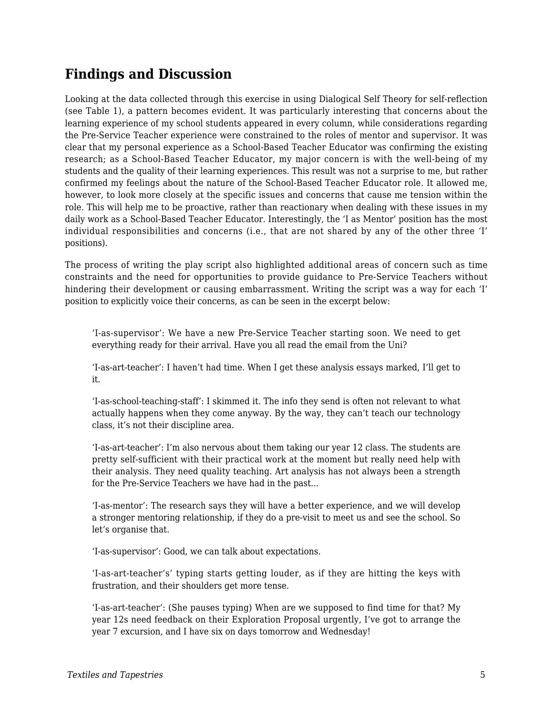# **Findings and Discussion**

Looking at the data collected through this exercise in using Dialogical Self Theory for self-reflection (see Table 1), a pattern becomes evident. It was particularly interesting that concerns about the learning experience of my school students appeared in every column, while considerations regarding the Pre-Service Teacher experience were constrained to the roles of mentor and supervisor. It was clear that my personal experience as a School-Based Teacher Educator was confirming the existing research; as a School-Based Teacher Educator, my major concern is with the well-being of my students and the quality of their learning experiences. This result was not a surprise to me, but rather confirmed my feelings about the nature of the School-Based Teacher Educator role. It allowed me, however, to look more closely at the specific issues and concerns that cause me tension within the role. This will help me to be proactive, rather than reactionary when dealing with these issues in my daily work as a School-Based Teacher Educator. Interestingly, the 'I as Mentor' position has the most individual responsibilities and concerns (i.e., that are not shared by any of the other three 'I' positions).

The process of writing the play script also highlighted additional areas of concern such as time constraints and the need for opportunities to provide guidance to Pre-Service Teachers without hindering their development or causing embarrassment. Writing the script was a way for each 'I' position to explicitly voice their concerns, as can be seen in the excerpt below:

'I-as-supervisor': We have a new Pre-Service Teacher starting soon. We need to get everything ready for their arrival. Have you all read the email from the Uni?

'I-as-art-teacher': I haven't had time. When I get these analysis essays marked, I'll get to it.

'I-as-school-teaching-staff': I skimmed it. The info they send is often not relevant to what actually happens when they come anyway. By the way, they can't teach our technology class, it's not their discipline area.

'I-as-art-teacher': I'm also nervous about them taking our year 12 class. The students are pretty self-sufficient with their practical work at the moment but really need help with their analysis. They need quality teaching. Art analysis has not always been a strength for the Pre-Service Teachers we have had in the past...

'I-as-mentor': The research says they will have a better experience, and we will develop a stronger mentoring relationship, if they do a pre-visit to meet us and see the school. So let's organise that.

'I-as-supervisor': Good, we can talk about expectations.

'I-as-art-teacher's' typing starts getting louder, as if they are hitting the keys with frustration, and their shoulders get more tense.

'I-as-art-teacher': (She pauses typing) When are we supposed to find time for that? My year 12s need feedback on their Exploration Proposal urgently, I've got to arrange the year 7 excursion, and I have six on days tomorrow and Wednesday!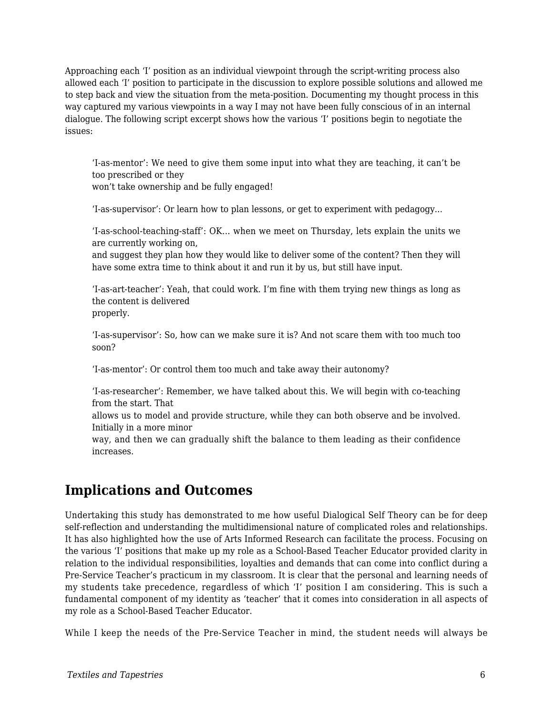Approaching each 'I' position as an individual viewpoint through the script-writing process also allowed each 'I' position to participate in the discussion to explore possible solutions and allowed me to step back and view the situation from the meta-position. Documenting my thought process in this way captured my various viewpoints in a way I may not have been fully conscious of in an internal dialogue. The following script excerpt shows how the various 'I' positions begin to negotiate the issues:

'I-as-mentor': We need to give them some input into what they are teaching, it can't be too prescribed or they

won't take ownership and be fully engaged!

'I-as-supervisor': Or learn how to plan lessons, or get to experiment with pedagogy...

'I-as-school-teaching-staff': OK... when we meet on Thursday, lets explain the units we are currently working on,

and suggest they plan how they would like to deliver some of the content? Then they will have some extra time to think about it and run it by us, but still have input.

'I-as-art-teacher': Yeah, that could work. I'm fine with them trying new things as long as the content is delivered properly.

'I-as-supervisor': So, how can we make sure it is? And not scare them with too much too soon?

'I-as-mentor': Or control them too much and take away their autonomy?

'I-as-researcher': Remember, we have talked about this. We will begin with co-teaching from the start. That

allows us to model and provide structure, while they can both observe and be involved. Initially in a more minor

way, and then we can gradually shift the balance to them leading as their confidence increases.

# **Implications and Outcomes**

Undertaking this study has demonstrated to me how useful Dialogical Self Theory can be for deep self-reflection and understanding the multidimensional nature of complicated roles and relationships. It has also highlighted how the use of Arts Informed Research can facilitate the process. Focusing on the various 'I' positions that make up my role as a School-Based Teacher Educator provided clarity in relation to the individual responsibilities, loyalties and demands that can come into conflict during a Pre-Service Teacher's practicum in my classroom. It is clear that the personal and learning needs of my students take precedence, regardless of which 'I' position I am considering. This is such a fundamental component of my identity as 'teacher' that it comes into consideration in all aspects of my role as a School-Based Teacher Educator.

While I keep the needs of the Pre-Service Teacher in mind, the student needs will always be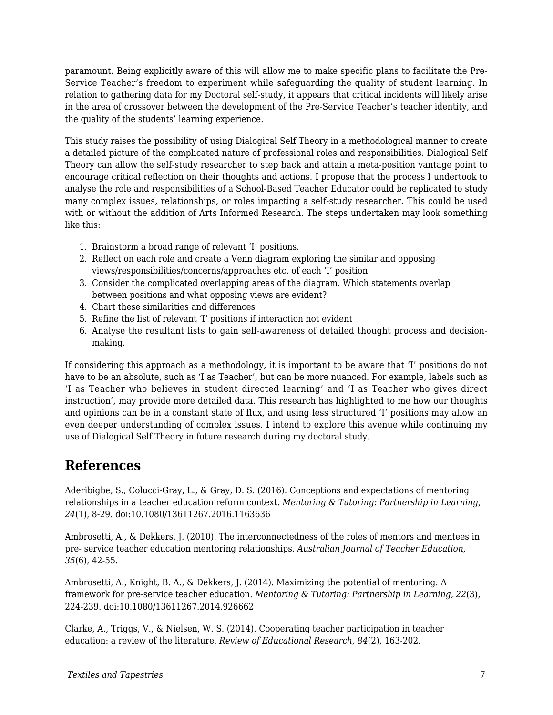paramount. Being explicitly aware of this will allow me to make specific plans to facilitate the Pre-Service Teacher's freedom to experiment while safeguarding the quality of student learning. In relation to gathering data for my Doctoral self-study, it appears that critical incidents will likely arise in the area of crossover between the development of the Pre-Service Teacher's teacher identity, and the quality of the students' learning experience.

This study raises the possibility of using Dialogical Self Theory in a methodological manner to create a detailed picture of the complicated nature of professional roles and responsibilities. Dialogical Self Theory can allow the self-study researcher to step back and attain a meta-position vantage point to encourage critical reflection on their thoughts and actions. I propose that the process I undertook to analyse the role and responsibilities of a School-Based Teacher Educator could be replicated to study many complex issues, relationships, or roles impacting a self-study researcher. This could be used with or without the addition of Arts Informed Research. The steps undertaken may look something like this:

- 1. Brainstorm a broad range of relevant 'I' positions.
- 2. Reflect on each role and create a Venn diagram exploring the similar and opposing views/responsibilities/concerns/approaches etc. of each 'I' position
- 3. Consider the complicated overlapping areas of the diagram. Which statements overlap between positions and what opposing views are evident?
- 4. Chart these similarities and differences
- 5. Refine the list of relevant 'I' positions if interaction not evident
- 6. Analyse the resultant lists to gain self-awareness of detailed thought process and decisionmaking.

If considering this approach as a methodology, it is important to be aware that 'I' positions do not have to be an absolute, such as 'I as Teacher', but can be more nuanced. For example, labels such as 'I as Teacher who believes in student directed learning' and 'I as Teacher who gives direct instruction', may provide more detailed data. This research has highlighted to me how our thoughts and opinions can be in a constant state of flux, and using less structured 'I' positions may allow an even deeper understanding of complex issues. I intend to explore this avenue while continuing my use of Dialogical Self Theory in future research during my doctoral study.

## **References**

Aderibigbe, S., Colucci-Gray, L., & Gray, D. S. (2016). Conceptions and expectations of mentoring relationships in a teacher education reform context. *Mentoring & Tutoring: Partnership in Learning, 24*(1), 8-29. doi:10.1080/13611267.2016.1163636

Ambrosetti, A., & Dekkers, J. (2010). The interconnectedness of the roles of mentors and mentees in pre- service teacher education mentoring relationships. *Australian Journal of Teacher Education, 35*(6), 42-55.

Ambrosetti, A., Knight, B. A., & Dekkers, J. (2014). Maximizing the potential of mentoring: A framework for pre-service teacher education. *Mentoring & Tutoring: Partnership in Learning, 22*(3), 224-239. doi:10.1080/13611267.2014.926662

Clarke, A., Triggs, V., & Nielsen, W. S. (2014). Cooperating teacher participation in teacher education: a review of the literature. *Review of Educational Research, 84*(2), 163-202.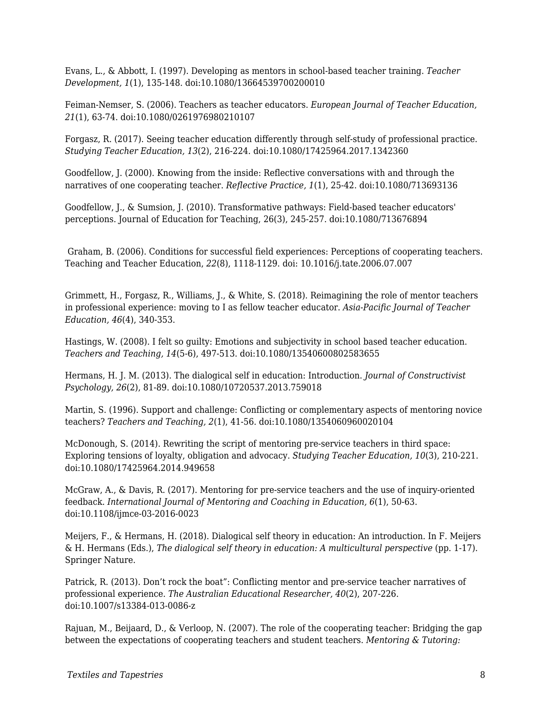Evans, L., & Abbott, I. (1997). Developing as mentors in school-based teacher training. *Teacher Development, 1*(1), 135-148. doi:10.1080/13664539700200010

Feiman-Nemser, S. (2006). Teachers as teacher educators. *European Journal of Teacher Education, 21*(1), 63-74. doi:10.1080/0261976980210107

Forgasz, R. (2017). Seeing teacher education differently through self-study of professional practice. *Studying Teacher Education, 13*(2), 216-224. doi:10.1080/17425964.2017.1342360

Goodfellow, J. (2000). Knowing from the inside: Reflective conversations with and through the narratives of one cooperating teacher. *Reflective Practice, 1*(1), 25-42. doi:10.1080/713693136

Goodfellow, J., & Sumsion, J. (2010). Transformative pathways: Field-based teacher educators' perceptions. Journal of Education for Teaching, 26(3), 245-257. doi:10.1080/713676894

 Graham, B. (2006). Conditions for successful field experiences: Perceptions of cooperating teachers. Teaching and Teacher Education, *22*(8), 1118-1129. doi: 10.1016/j.tate.2006.07.007

Grimmett, H., Forgasz, R., Williams, J., & White, S. (2018). Reimagining the role of mentor teachers in professional experience: moving to I as fellow teacher educator. *Asia-Pacific Journal of Teacher Education, 46*(4), 340-353.

Hastings, W. (2008). I felt so guilty: Emotions and subjectivity in school based teacher education. *Teachers and Teaching, 14*(5-6), 497-513. doi:10.1080/13540600802583655

Hermans, H. J. M. (2013). The dialogical self in education: Introduction. *Journal of Constructivist Psychology, 26*(2), 81-89. doi:10.1080/10720537.2013.759018

Martin, S. (1996). Support and challenge: Conflicting or complementary aspects of mentoring novice teachers? *Teachers and Teaching, 2*(1), 41-56. doi:10.1080/1354060960020104

McDonough, S. (2014). Rewriting the script of mentoring pre-service teachers in third space: Exploring tensions of loyalty, obligation and advocacy. *Studying Teacher Education, 10*(3), 210-221. doi:10.1080/17425964.2014.949658

McGraw, A., & Davis, R. (2017). Mentoring for pre-service teachers and the use of inquiry-oriented feedback. *International Journal of Mentoring and Coaching in Education, 6*(1), 50-63. doi:10.1108/ijmce-03-2016-0023

Meijers, F., & Hermans, H. (2018). Dialogical self theory in education: An introduction. In F. Meijers & H. Hermans (Eds.), *The dialogical self theory in education: A multicultural perspective* (pp. 1-17). Springer Nature.

Patrick, R. (2013). Don't rock the boat": Conflicting mentor and pre-service teacher narratives of professional experience. *The Australian Educational Researcher, 40*(2), 207-226. doi:10.1007/s13384-013-0086-z

Rajuan, M., Beijaard, D., & Verloop, N. (2007). The role of the cooperating teacher: Bridging the gap between the expectations of cooperating teachers and student teachers. *Mentoring & Tutoring:*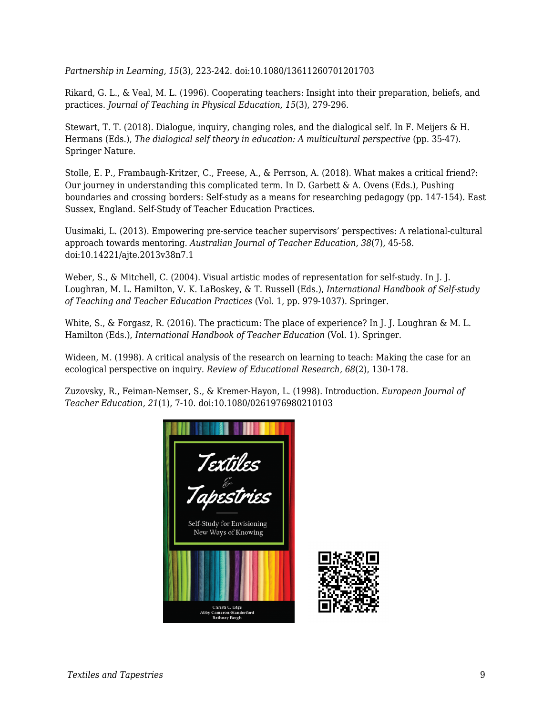*Partnership in Learning, 15*(3), 223-242. doi:10.1080/13611260701201703

Rikard, G. L., & Veal, M. L. (1996). Cooperating teachers: Insight into their preparation, beliefs, and practices. *Journal of Teaching in Physical Education, 15*(3), 279-296.

Stewart, T. T. (2018). Dialogue, inquiry, changing roles, and the dialogical self. In F. Meijers & H. Hermans (Eds.), *The dialogical self theory in education: A multicultural perspective* (pp. 35-47). Springer Nature.

Stolle, E. P., Frambaugh-Kritzer, C., Freese, A., & Perrson, A. (2018). What makes a critical friend?: Our journey in understanding this complicated term. In D. Garbett & A. Ovens (Eds.), Pushing boundaries and crossing borders: Self-study as a means for researching pedagogy (pp. 147-154). East Sussex, England. Self-Study of Teacher Education Practices.

Uusimaki, L. (2013). Empowering pre-service teacher supervisors' perspectives: A relational-cultural approach towards mentoring. *Australian Journal of Teacher Education, 38*(7), 45-58. doi:10.14221/ajte.2013v38n7.1

Weber, S., & Mitchell, C. (2004). Visual artistic modes of representation for self-study. In J. J. Loughran, M. L. Hamilton, V. K. LaBoskey, & T. Russell (Eds.), *International Handbook of Self-study of Teaching and Teacher Education Practices* (Vol. 1, pp. 979-1037). Springer.

White, S., & Forgasz, R. (2016). The practicum: The place of experience? In J. J. Loughran & M. L. Hamilton (Eds.), *International Handbook of Teacher Education* (Vol. 1). Springer.

Wideen, M. (1998). A critical analysis of the research on learning to teach: Making the case for an ecological perspective on inquiry. *Review of Educational Research, 68*(2), 130-178.

Zuzovsky, R., Feiman-Nemser, S., & Kremer-Hayon, L. (1998). Introduction. *European Journal of Teacher Education, 21*(1), 7-10. doi:10.1080/0261976980210103